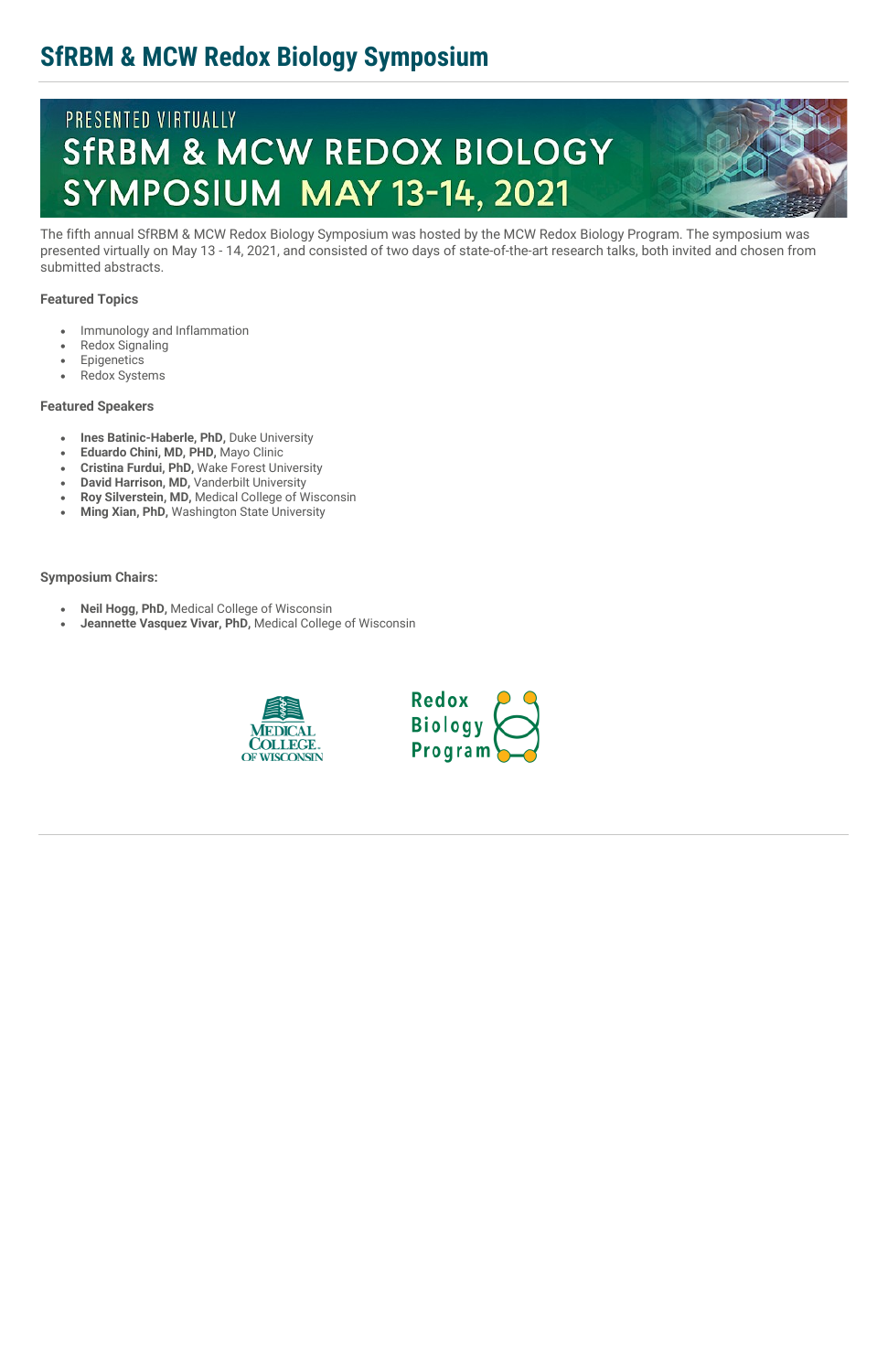## **SfRBM & MCW Redox Biology Symposium**

# PRESENTED VIRTUALLY **SFRBM & MCW REDOX BIOLOGY** SYMPOSIUM MAY 13-14, 2021



The fifth annual SfRBM & MCW Redox Biology Symposium was hosted by the MCW Redox Biology Program. The symposium was presented virtually on May 13 - 14, 2021, and consisted of two days of state-of-the-art research talks, both invited and chosen from submitted abstracts.

#### **Featured Topics**

- Immunology and Inflammation
- Redox Signaling
- Epigenetics
- Redox Systems

#### **Featured Speakers**

- **Ines Batinic-Haberle, PhD,** Duke University
- **Eduardo Chini, MD, PHD,** Mayo Clinic
- **Cristina Furdui, PhD,** Wake Forest University
- **David Harrison, MD,** Vanderbilt University
- **Roy Silverstein, MD,** Medical College of Wisconsin
- **Ming Xian, PhD,** Washington State University

**Symposium Chairs:**

- **Neil Hogg, PhD,** Medical College of Wisconsin
- **Jeannette Vasquez Vivar, PhD,** Medical College of Wisconsin



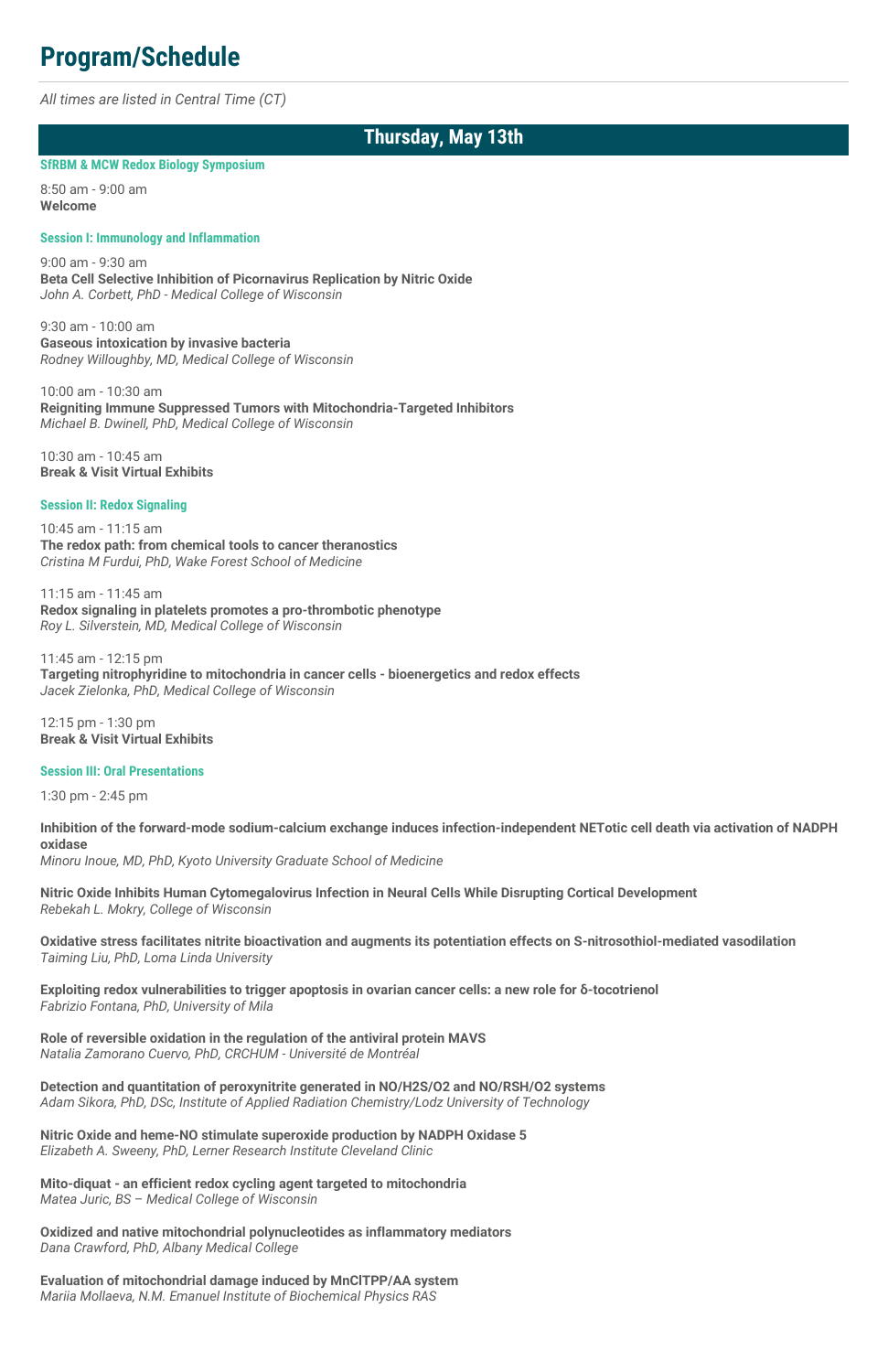## **Program/Schedule**

*All times are listed in Central Time (CT)*

### **Thursday, May 13th**

#### **SfRBM & MCW Redox Biology Symposium**

8:50 am - 9:00 am **Welcome**

#### **Session I: Immunology and Inflammation**

9:00 am - 9:30 am **Beta Cell Selective Inhibition of Picornavirus Replication by Nitric Oxide** *John A. Corbett, PhD - Medical College of Wisconsin*

9:30 am - 10:00 am **Gaseous intoxication by invasive bacteria** *Rodney Willoughby, MD, Medical College of Wisconsin*

10:00 am - 10:30 am **Reigniting Immune Suppressed Tumors with Mitochondria-Targeted Inhibitors** *Michael B. Dwinell, PhD, Medical College of Wisconsin*

10:30 am - 10:45 am **Break & Visit Virtual Exhibits**

#### **Session II: Redox Signaling**

10:45 am - 11:15 am **The redox path: from chemical tools to cancer theranostics** *Cristina M Furdui, PhD, Wake Forest School of Medicine*

11:15 am - 11:45 am **Redox signaling in platelets promotes a pro-thrombotic phenotype** *Roy L. Silverstein, MD, Medical College of Wisconsin*

11:45 am - 12:15 pm **Targeting nitrophyridine to mitochondria in cancer cells - bioenergetics and redox effects** *Jacek Zielonka, PhD, Medical College of Wisconsin*

12:15 pm - 1:30 pm **Break & Visit Virtual Exhibits**

#### **Session III: Oral Presentations**

1:30 pm - 2:45 pm

**Inhibition of the forward-mode sodium-calcium exchange induces infection-independent NETotic cell death via activation of NADPH oxidase**

*Minoru Inoue, MD, PhD, Kyoto University Graduate School of Medicine*

**Nitric Oxide Inhibits Human Cytomegalovirus Infection in Neural Cells While Disrupting Cortical Development** *Rebekah L. Mokry, College of Wisconsin*

**Oxidative stress facilitates nitrite bioactivation and augments its potentiation effects on S-nitrosothiol-mediated vasodilation** *Taiming Liu, PhD, Loma Linda University*

**Exploiting redox vulnerabilities to trigger apoptosis in ovarian cancer cells: a new role for δ-tocotrienol** *Fabrizio Fontana, PhD, University of Mila*

**Role of reversible oxidation in the regulation of the antiviral protein MAVS** *Natalia Zamorano Cuervo, PhD, CRCHUM - Université de Montréal*

**Detection and quantitation of peroxynitrite generated in NO/H2S/O2 and NO/RSH/O2 systems** *Adam Sikora, PhD, DSc, Institute of Applied Radiation Chemistry/Lodz University of Technology*

**Nitric Oxide and heme-NO stimulate superoxide production by NADPH Oxidase 5** *Elizabeth A. Sweeny, PhD, Lerner Research Institute Cleveland Clinic*

**Mito-diquat - an efficient redox cycling agent targeted to mitochondria** *Matea Juric, BS – Medical College of Wisconsin*

**Oxidized and native mitochondrial polynucleotides as inflammatory mediators** *Dana Crawford, PhD, Albany Medical College*

**Evaluation of mitochondrial damage induced by MnClTPP/AA system** *Mariia Mollaeva, N.M. Emanuel Institute of Biochemical Physics RAS*